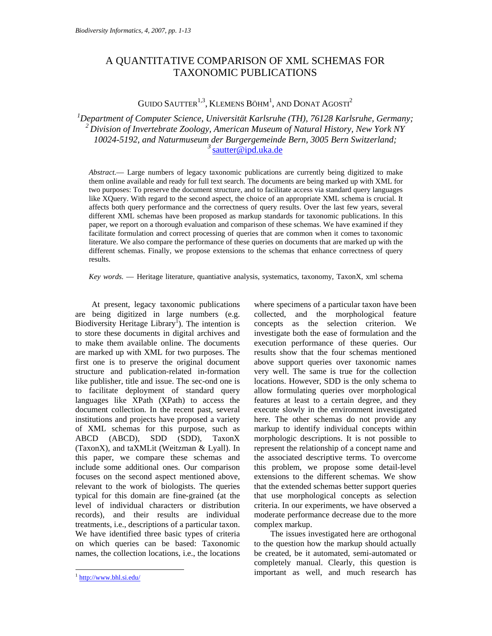# A QUANTITATIVE COMPARISON OF XML SCHEMAS FOR TAXONOMIC PUBLICATIONS

GUIDO SAUTTER $^{1,3}$ , KLEMENS BÖHM<sup>1</sup>, AND DONAT AGOSTI<sup>2</sup>

<sup>1</sup>Department of Computer Science, Universität Karlsruhe (TH), 76128 Karlsruhe, Germany; *2 Division of Invertebrate Zoology, American Museum of Natural History, New York NY 10024-5192, and Naturmuseum der Burgergemeinde Bern, 3005 Bern Switzerland; <sup>3</sup>*sautter@ipd.uka.de

*Abstract.*— Large numbers of legacy taxonomic publications are currently being digitized to make them online available and ready for full text search. The documents are being marked up with XML for two purposes: To preserve the document structure, and to facilitate access via standard query languages like XQuery. With regard to the second aspect, the choice of an appropriate XML schema is crucial. It affects both query performance and the correctness of query results. Over the last few years, several different XML schemas have been proposed as markup standards for taxonomic publications. In this paper, we report on a thorough evaluation and comparison of these schemas. We have examined if they facilitate formulation and correct processing of queries that are common when it comes to taxonomic literature. We also compare the performance of these queries on documents that are marked up with the different schemas. Finally, we propose extensions to the schemas that enhance correctness of query results.

*Key words.* — Heritage literature, quantiative analysis, systematics, taxonomy, TaxonX, xml schema

At present, legacy taxonomic publications are being digitized in large numbers (e.g. Biodiversity Heritage Library<sup>1</sup>). The intention is to store these documents in digital archives and to make them available online. The documents are marked up with XML for two purposes. The first one is to preserve the original document structure and publication-related in-formation like publisher, title and issue. The sec-ond one is to facilitate deployment of standard query languages like XPath (XPath) to access the document collection. In the recent past, several institutions and projects have proposed a variety of XML schemas for this purpose, such as ABCD (ABCD), SDD (SDD), TaxonX (TaxonX), and taXMLit (Weitzman & Lyall). In this paper, we compare these schemas and include some additional ones. Our comparison focuses on the second aspect mentioned above, relevant to the work of biologists. The queries typical for this domain are fine-grained (at the level of individual characters or distribution records), and their results are individual treatments, i.e., descriptions of a particular taxon. We have identified three basic types of criteria on which queries can be based: Taxonomic names, the collection locations, i.e., the locations

-

where specimens of a particular taxon have been collected, and the morphological feature concepts as the selection criterion. We investigate both the ease of formulation and the execution performance of these queries. Our results show that the four schemas mentioned above support queries over taxonomic names very well. The same is true for the collection locations. However, SDD is the only schema to allow formulating queries over morphological features at least to a certain degree, and they execute slowly in the environment investigated here. The other schemas do not provide any markup to identify individual concepts within morphologic descriptions. It is not possible to represent the relationship of a concept name and the associated descriptive terms. To overcome this problem, we propose some detail-level extensions to the different schemas. We show that the extended schemas better support queries that use morphological concepts as selection criteria. In our experiments, we have observed a moderate performance decrease due to the more complex markup.

The issues investigated here are orthogonal to the question how the markup should actually be created, be it automated, semi-automated or completely manual. Clearly, this question is important as well, and much research has

 $1$  http://www.bhl.si.edu/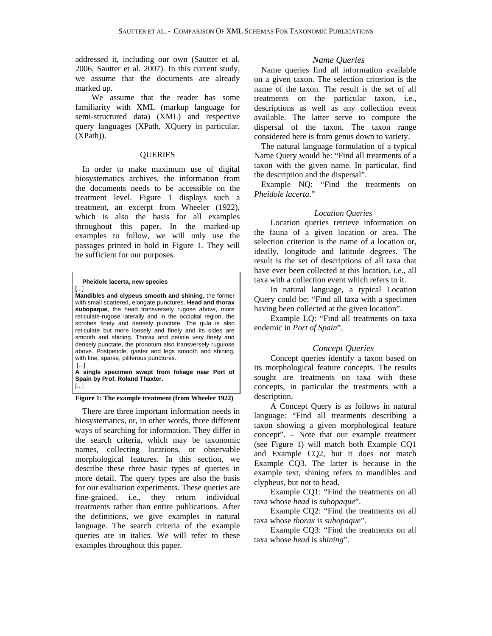addressed it, including our own (Sautter et al. 2006, Sautter et al. 2007). In this current study, we assume that the documents are already marked up.

We assume that the reader has some familiarity with XML (markup language for semi-structured data) (XML) and respective query languages (XPath, XQuery in particular, (XPath)).

# **QUERIES**

In order to make maximum use of digital biosystematics archives, the information from the documents needs to be accessible on the treatment level. Figure 1 displays such a treatment, an excerpt from Wheeler (1922), which is also the basis for all examples throughout this paper. In the marked-up examples to follow, we will only use the passages printed in bold in Figure 1. They will be sufficient for our purposes.

#### **Pheidole lacerta, new species**

[...] **Mandibles and clypeus smooth and shining**, the former with small scattered, elongate punctures. **Head and thorax subopaque**, the head transversely rugose above, more reticulate-rugose laterally and in the occipital region, the scrobes finely and densely punctate. The gula is also reticulate but more loosely and finely and its sides are smooth and shining. Thorax and petiole very finely and densely punctate, the pronotum also transversely rugulose above. Postpetiole, gaster and legs smooth and shining, with fine, sparse, piliferous punctures. [...]

**A single specimen swept from foliage near Port of Spain by Prof. Roland Thaxter.** [...]

#### **Figure 1: The example treatment (from Wheeler 1922)**

There are three important information needs in biosystematics, or, in other words, three different ways of searching for information. They differ in the search criteria, which may be taxonomic names, collecting locations, or observable morphological features. In this section, we describe these three basic types of queries in more detail. The query types are also the basis for our evaluation experiments. These queries are fine-grained, i.e., they return individual treatments rather than entire publications. After the definitions, we give examples in natural language. The search criteria of the example queries are in italics. We will refer to these examples throughout this paper.

# *Name Queries*

Name queries find all information available on a given taxon. The selection criterion is the name of the taxon. The result is the set of all treatments on the particular taxon, i.e., descriptions as well as any collection event available. The latter serve to compute the dispersal of the taxon. The taxon range considered here is from genus down to variety.

The natural language formulation of a typical Name Query would be: "Find all treatments of a taxon with the given name. In particular, find the description and the dispersal".

Example NQ: "Find the treatments on *Pheidole lacerta*."

### *Location Queries*

Location queries retrieve information on the fauna of a given location or area. The selection criterion is the name of a location or, ideally, longitude and latitude degrees. The result is the set of descriptions of all taxa that have ever been collected at this location, i.e., all taxa with a collection event which refers to it.

In natural language, a typical Location Query could be: "Find all taxa with a specimen having been collected at the given location".

Example LQ: "Find all treatments on taxa endemic in *Port of Spain*".

# *Concept Queries*

Concept queries identify a taxon based on its morphological feature concepts. The results sought are treatments on taxa with these concepts, in particular the treatments with a description.

A Concept Query is as follows in natural language: "Find all treatments describing a taxon showing a given morphological feature concept". – Note that our example treatment (see Figure 1) will match both Example CQ1 and Example CQ2, but it does not match Example CQ3. The latter is because in the example text, shining refers to mandibles and clypheus, but not to head.

Example CQ1: "Find the treatments on all taxa whose *head* is *subopaque*".

Example CQ2: "Find the treatments on all taxa whose *thorax* is *subopaque*".

Example CQ3: "Find the treatments on all taxa whose *head* is *shining*".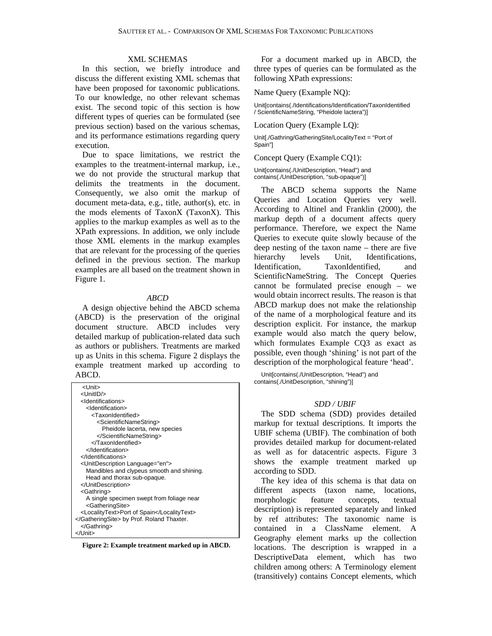#### XML SCHEMAS

In this section, we briefly introduce and discuss the different existing XML schemas that have been proposed for taxonomic publications. To our knowledge, no other relevant schemas exist. The second topic of this section is how different types of queries can be formulated (see previous section) based on the various schemas, and its performance estimations regarding query execution.

Due to space limitations, we restrict the examples to the treatment-internal markup, i.e., we do not provide the structural markup that delimits the treatments in the document. Consequently, we also omit the markup of document meta-data, e.g., title, author(s), etc. in the mods elements of TaxonX (TaxonX). This applies to the markup examples as well as to the XPath expressions. In addition, we only include those XML elements in the markup examples that are relevant for the processing of the queries defined in the previous section. The markup examples are all based on the treatment shown in Figure 1.

#### *ABCD*

A design objective behind the ABCD schema (ABCD) is the preservation of the original document structure. ABCD includes very detailed markup of publication-related data such as authors or publishers. Treatments are marked up as Units in this schema. Figure 2 displays the example treatment marked up according to ABCD.

| <unit></unit>                                     |
|---------------------------------------------------|
| <unitid></unitid>                                 |
| <ldentifications></ldentifications>               |
| <ldentification></ldentification>                 |
| <taxonidentified></taxonidentified>               |
| <scientificnamestring></scientificnamestring>     |
| Pheidole lacerta, new species                     |
|                                                   |
|                                                   |
|                                                   |
|                                                   |
| <unitdescription language="en"></unitdescription> |
| Mandibles and clypeus smooth and shining.         |
| Head and thorax sub-opaque.                       |
|                                                   |
| <gathring></gathring>                             |
| A single specimen swept from foliage near         |
| <gatheringsite></gatheringsite>                   |
| <localitytext>Port of Spain</localitytext>        |
| by Prof. Roland Thaxter.                          |
|                                                   |
|                                                   |

**Figure 2: Example treatment marked up in ABCD.** 

For a document marked up in ABCD, the three types of queries can be formulated as the following XPath expressions:

#### Name Query (Example NQ):

Unit[contains(./Identifications/Identification/TaxonIdentified / ScientificNameString, "Pheidole lactera")]

Location Query (Example LQ):

Unit[./Gathring/GatheringSite/LocalityText = "Port of Spain"]

Concept Query (Example CQ1):

Unit[contains(./UnitDescription, "Head") and contains(./UnitDescription, "sub-opaque")]

The ABCD schema supports the Name Queries and Location Queries very well. According to Altinel and Franklin (2000), the markup depth of a document affects query performance. Therefore, we expect the Name Queries to execute quite slowly because of the deep nesting of the taxon name – there are five hierarchy levels Unit, Identifications, Identification, TaxonIdentified, and ScientificNameString. The Concept Queries cannot be formulated precise enough – we would obtain incorrect results. The reason is that ABCD markup does not make the relationship of the name of a morphological feature and its description explicit. For instance, the markup example would also match the query below, which formulates Example CQ3 as exact as possible, even though 'shining' is not part of the description of the morphological feature 'head'.

Unit[contains(./UnitDescription, "Head") and contains(./UnitDescription, "shining")]

#### *SDD / UBIF*

The SDD schema (SDD) provides detailed markup for textual descriptions. It imports the UBIF schema (UBIF). The combination of both provides detailed markup for document-related as well as for datacentric aspects. Figure 3 shows the example treatment marked up according to SDD.

The key idea of this schema is that data on different aspects (taxon name, locations, morphologic feature concepts, textual description) is represented separately and linked by ref attributes: The taxonomic name is contained in a ClassName element. A Geography element marks up the collection locations. The description is wrapped in a DescriptiveData element, which has two children among others: A Terminology element (transitively) contains Concept elements, which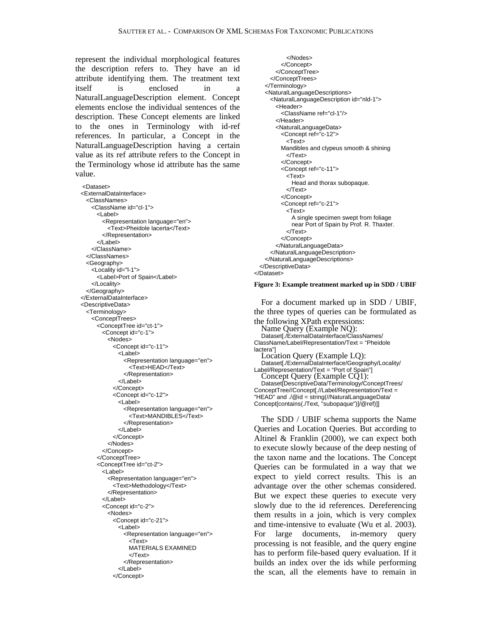represent the individual morphological features the description refers to. They have an id attribute identifying them. The treatment text itself is enclosed in a NaturalLanguageDescription element. Concept elements enclose the individual sentences of the description. These Concept elements are linked to the ones in Terminology with id-ref references. In particular, a Concept in the NaturalLanguageDescription having a certain value as its ref attribute refers to the Concept in the Terminology whose id attribute has the same value.

<Dataset> <ExternalDataInterface> <ClassNames> <ClassName id="cl-1"> <Label> <Representation language="en"> <Text>Pheidole lacerta</Text> </Representation> </Label> </ClassName> </ClassNames> <Geography> <Locality id="l-1"> <Label>Port of Spain</Label> </Locality> </Geography> </ExternalDataInterface> <DescriptiveData> <Terminology> <ConceptTrees> <ConceptTree id="ct-1"> <Concept id="c-1"> <Nodes> <Concept id="c-11"> <Label> <Representation language="en"> <Text>HEAD</Text> </Representation> </Label> </Concept> <Concept id="c-12"> <Label> <Representation language="en"> <Text>MANDIBLES</Text> </Representation> </Label> </Concept> </Nodes> </Concept> </ConceptTree> <ConceptTree id="ct-2"> <Label> <Representation language="en"> <Text>Methodology</Text> </Representation> </Label> <Concept id="c-2"> <Nodes> <Concept id="c-21"> <Label> <Representation language="en"> <Text> MATERIALS EXAMINED </Text> </Representation> </Label> </Concept>

 </Nodes> </Concept> </ConceptTree> </ConceptTrees> </Terminology> <NaturalLanguageDescriptions> <NaturalLanguageDescription id="nld-1"> <Header> <ClassName ref="cl-1"/> </Header> <NaturalLanguageData> <Concept ref="c-12"> <Text> Mandibles and clypeus smooth & shining </Text> </Concept> <Concept ref="c-11"> <Text> Head and thorax subopaque. </Text> </Concept> <Concept ref="c-21"> <Text> A single specimen swept from foliage near Port of Spain by Prof. R. Thaxter. </Text> </Concept> </NaturalLanguageData> </NaturalLanguageDescription> </NaturalLanguageDescriptions> </DescriptiveData> </Dataset>

#### **Figure 3: Example treatment marked up in SDD / UBIF**

For a document marked up in SDD / UBIF, the three types of queries can be formulated as the following XPath expressions: Name Query (Example NQ): Dataset[./ExternalDataInterface/ClassNames/ ClassName/Label/Representation/Text = "Pheidole lactera"] Location Query (Example LQ): Dataset[./ExternalDataInterface/Geography/Locality/ Label/Representation/Text = "Port of Spain"] Concept Query (Example CQ1): Dataset[DescriptiveData/Terminology/ConceptTrees/ ConceptTree//Concept[.//Label/Representation/Text = "HEAD" and ./@id = string(//NaturalLanguageData/ Concept[contains(./Text, "subopaque")]/@ref)]]

The SDD / UBIF schema supports the Name Queries and Location Queries. But according to Altinel & Franklin (2000), we can expect both to execute slowly because of the deep nesting of the taxon name and the locations. The Concept Queries can be formulated in a way that we expect to yield correct results. This is an advantage over the other schemas considered. But we expect these queries to execute very slowly due to the id references. Dereferencing them results in a join, which is very complex and time-intensive to evaluate (Wu et al. 2003). For large documents, in-memory query processing is not feasible, and the query engine has to perform file-based query evaluation. If it builds an index over the ids while performing the scan, all the elements have to remain in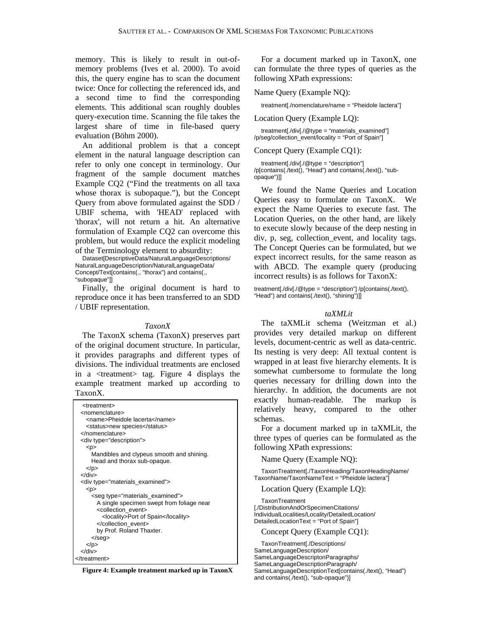memory. This is likely to result in out-ofmemory problems (Ives et al. 2000). To avoid this, the query engine has to scan the document twice: Once for collecting the referenced ids, and a second time to find the corresponding elements. This additional scan roughly doubles query-execution time. Scanning the file takes the largest share of time in file-based query evaluation (Böhm 2000).

An additional problem is that a concept element in the natural language description can refer to only one concept in terminology. Our fragment of the sample document matches Example CQ2 ("Find the treatments on all taxa whose thorax is subopaque."), but the Concept Query from above formulated against the SDD / UBIF schema, with 'HEAD' replaced with 'thorax', will not return a hit. An alternative formulation of Example CQ2 can overcome this problem, but would reduce the explicit modeling of the Terminology element to absurdity:

Dataset[DescriptiveData/NaturalLanguageDescriptions/ NaturalLanguageDescription/NaturalLanguageData/ Concept/Text[contains(., "thorax") and contains(., "subopaque"]]

Finally, the original document is hard to reproduce once it has been transferred to an SDD / UBIF representation.

# *TaxonX*

The TaxonX schema (TaxonX) preserves part of the original document structure. In particular, it provides paragraphs and different types of divisions. The individual treatments are enclosed in a <treatment> tag. Figure 4 displays the example treatment marked up according to TaxonX.

| <treatment><br/><nomenclature></nomenclature></treatment> |
|-----------------------------------------------------------|
| <name>Pheidole lacerta</name>                             |
| <status>new species</status>                              |
|                                                           |
| <div type="description"></div>                            |
| < p                                                       |
| Mandibles and clypeus smooth and shining.                 |
| Head and thorax sub-opaque.                               |
| $<$ /p>                                                   |
| $<$ /div $>$                                              |
| <div type="materials examined"></div>                     |
| < p                                                       |
| <seg type="materials_examined"></seg>                     |
| A single specimen swept from foliage near                 |
| <collection event=""></collection>                        |
| <locality>Port of Spain</locality>                        |
|                                                           |
| by Prof. Roland Thaxter.                                  |
|                                                           |
| $<$ /p>                                                   |
| $<$ /div $>$                                              |
|                                                           |

**Figure 4: Example treatment marked up in TaxonX** 

For a document marked up in TaxonX, one can formulate the three types of queries as the following XPath expressions:

Name Query (Example NQ):

treatment[./nomenclature/name = "Pheidole lactera"]

Location Query (Example LQ):

treatment[./div[./@type = "materials\_examined"] /p/seg/collection\_event/locality = "Port of Spain"]

### Concept Query (Example CQ1):

treatment[./div[./@type = "description"] /p[contains(./text(), "Head") and contains(./text(), "subopaque")]]

We found the Name Queries and Location Queries easy to formulate on TaxonX. We expect the Name Queries to execute fast. The Location Queries, on the other hand, are likely to execute slowly because of the deep nesting in div, p, seg, collection\_event, and locality tags. The Concept Queries can be formulated, but we expect incorrect results, for the same reason as with ABCD. The example query (producing incorrect results) is as follows for TaxonX:

treatment[./div[./@type = "description"] /p[contains(./text(), "Head") and contains(./text(), "shining")]]

#### *taXMLit*

The taXMLit schema (Weitzman et al.) provides very detailed markup on different levels, document-centric as well as data-centric. Its nesting is very deep: All textual content is wrapped in at least five hierarchy elements. It is somewhat cumbersome to formulate the long queries necessary for drilling down into the hierarchy. In addition, the documents are not exactly human-readable. The markup is relatively heavy, compared to the other schemas.

For a document marked up in taXMLit, the three types of queries can be formulated as the following XPath expressions:

Name Query (Example NQ):

TaxonTreatment[./TaxonHeading/TaxonHeadingName/ TaxonName/TaxonNameText = "Pheidole lactera"]

Location Query (Example LQ):

**TaxonTreatment** [./DistributionAndOrSpecimenCitations/ IndividualLocalities/Locality/DetailedLocation/ DetailedLocationText = "Port of Spain"]

Concept Query (Example CQ1):

TaxonTreatment[./Descriptions/ SameLanguageDescription/ SameLanguageDescriptonParagraphs/ SameLanguageDescriptionParagraph/ SameLanguageDescriptionText[contains(./text(), "Head") and contains(./text(), "sub-opaque")]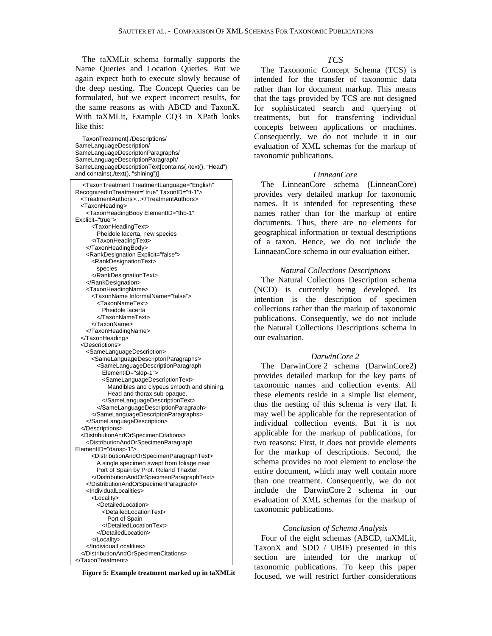The taXMLit schema formally supports the Name Queries and Location Queries. But we again expect both to execute slowly because of the deep nesting. The Concept Queries can be formulated, but we expect incorrect results, for the same reasons as with ABCD and TaxonX. With taXMLit, Example CQ3 in XPath looks like this:

TaxonTreatment[./Descriptions/ SameLanguageDescription/ SameLanguageDescriptonParagraphs/ SameLanguageDescriptionParagraph/ SameLanguageDescriptionText[contains(./text(), "Head") and contains(./text(), "shining")]

<TaxonTreatment TreatmentLanguage="English" RecognizedInTreatment="true" TaxonID="tt-1"> <TreatmentAuthors>...</TreatmentAuthors> <TaxonHeading> <TaxonHeadingBody ElementID="thb-1" Explicit="true"> <TaxonHeadingText> Pheidole lacerta, new species </TaxonHeadingText> </TaxonHeadingBody> <RankDesignation Explicit="false"> <RankDesignationText> species </RankDesignationText> </RankDesignation> <TaxonHeadingName> <TaxonName InformalName="false"> <TaxonNameText> Pheidole lacerta </TaxonNameText> </TaxonName> </TaxonHeadingName> </TaxonHeading> <Descriptions> <SameLanguageDescription> <SameLanguageDescriptonParagraphs> <SameLanguageDescriptionParagraph ElementID="sldp-1"> <SameLanguageDescriptionText> Mandibles and clypeus smooth and shining. Head and thorax sub-opaque. </SameLanguageDescriptionText> </SameLanguageDescriptionParagraph> </SameLanguageDescriptonParagraphs> </SameLanguageDescription> </Descriptions> <DistributionAndOrSpecimenCitations> <DistributionAndOrSpecimenParagraph ElementID="daosp-1"> <DistributionAndOrSpecimenParagraphText> A single specimen swept from foliage near Port of Spain by Prof. Roland Thaxter. </DistributionAndOrSpecimenParagraphText> </DistributionAndOrSpecimenParagraph> <IndividualLocalities> <Locality> <DetailedLocation> <DetailedLocationText> Port of Spain </DetailedLocationText> </DetailedLocation> </Locality> </IndividualLocalities> </DistributionAndOrSpecimenCitations> </TaxonTreatment>

**Figure 5: Example treatment marked up in taXMLit** 

# *TCS*

The Taxonomic Concept Schema (TCS) is intended for the transfer of taxonomic data rather than for document markup. This means that the tags provided by TCS are not designed for sophisticated search and querying of treatments, but for transferring individual concepts between applications or machines. Consequently, we do not include it in our evaluation of XML schemas for the markup of taxonomic publications.

### *LinneanCore*

The LinneanCore schema (LinneanCore) provides very detailed markup for taxonomic names. It is intended for representing these names rather than for the markup of entire documents. Thus, there are no elements for geographical information or textual descriptions of a taxon. Hence, we do not include the LinnaeanCore schema in our evaluation either.

#### *Natural Collections Descriptions*

The Natural Collections Description schema (NCD) is currently being developed. Its intention is the description of specimen collections rather than the markup of taxonomic publications. Consequently, we do not include the Natural Collections Descriptions schema in our evaluation.

#### *DarwinCore 2*

The DarwinCore 2 schema (DarwinCore2) provides detailed markup for the key parts of taxonomic names and collection events. All these elements reside in a simple list element, thus the nesting of this schema is very flat. It may well be applicable for the representation of individual collection events. But it is not applicable for the markup of publications, for two reasons: First, it does not provide elements for the markup of descriptions. Second, the schema provides no root element to enclose the entire document, which may well contain more than one treatment. Consequently, we do not include the DarwinCore 2 schema in our evaluation of XML schemas for the markup of taxonomic publications.

#### *Conclusion of Schema Analysis*

Four of the eight schemas (ABCD, taXMLit, TaxonX and SDD / UBIF) presented in this section are intended for the markup of taxonomic publications. To keep this paper focused, we will restrict further considerations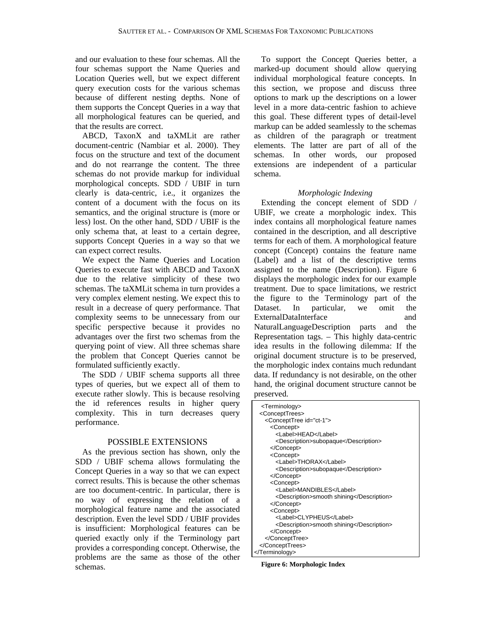and our evaluation to these four schemas. All the four schemas support the Name Queries and Location Queries well, but we expect different query execution costs for the various schemas because of different nesting depths. None of them supports the Concept Queries in a way that all morphological features can be queried, and that the results are correct.

ABCD, TaxonX and taXMLit are rather document-centric (Nambiar et al. 2000). They focus on the structure and text of the document and do not rearrange the content. The three schemas do not provide markup for individual morphological concepts. SDD / UBIF in turn clearly is data-centric, i.e., it organizes the content of a document with the focus on its semantics, and the original structure is (more or less) lost. On the other hand, SDD / UBIF is the only schema that, at least to a certain degree, supports Concept Queries in a way so that we can expect correct results.

We expect the Name Queries and Location Queries to execute fast with ABCD and TaxonX due to the relative simplicity of these two schemas. The taXMLit schema in turn provides a very complex element nesting. We expect this to result in a decrease of query performance. That complexity seems to be unnecessary from our specific perspective because it provides no advantages over the first two schemas from the querying point of view. All three schemas share the problem that Concept Queries cannot be formulated sufficiently exactly.

The SDD / UBIF schema supports all three types of queries, but we expect all of them to execute rather slowly. This is because resolving the id references results in higher query complexity. This in turn decreases query performance.

# POSSIBLE EXTENSIONS

As the previous section has shown, only the SDD / UBIF schema allows formulating the Concept Queries in a way so that we can expect correct results. This is because the other schemas are too document-centric. In particular, there is no way of expressing the relation of a morphological feature name and the associated description. Even the level SDD / UBIF provides is insufficient: Morphological features can be queried exactly only if the Terminology part provides a corresponding concept. Otherwise, the problems are the same as those of the other schemas.

To support the Concept Queries better, a marked-up document should allow querying individual morphological feature concepts. In this section, we propose and discuss three options to mark up the descriptions on a lower level in a more data-centric fashion to achieve this goal. These different types of detail-level markup can be added seamlessly to the schemas as children of the paragraph or treatment elements. The latter are part of all of the schemas. In other words, our proposed extensions are independent of a particular schema.

#### *Morphologic Indexing*

Extending the concept element of SDD / UBIF, we create a morphologic index. This index contains all morphological feature names contained in the description, and all descriptive terms for each of them. A morphological feature concept (Concept) contains the feature name (Label) and a list of the descriptive terms assigned to the name (Description). Figure 6 displays the morphologic index for our example treatment. Due to space limitations, we restrict the figure to the Terminology part of the Dataset. In particular, we omit the ExternalDataInterface and NaturalLanguageDescription parts and the Representation tags. – This highly data-centric idea results in the following dilemma: If the original document structure is to be preserved, the morphologic index contains much redundant data. If redundancy is not desirable, on the other hand, the original document structure cannot be preserved.

| <terminology><br/><concepttrees><br/><concepttree id="ct-1"></concepttree></concepttrees></terminology> |  |
|---------------------------------------------------------------------------------------------------------|--|
| <concept></concept>                                                                                     |  |
| <label>HEAD</label>                                                                                     |  |
| <description>subopaque</description>                                                                    |  |
|                                                                                                         |  |
| <concept></concept>                                                                                     |  |
| <label>THORAX</label>                                                                                   |  |
| <description>subopaque</description>                                                                    |  |
|                                                                                                         |  |
| <concept></concept>                                                                                     |  |
| <label>MANDIBLES</label>                                                                                |  |
| <description>smooth shining</description>                                                               |  |
|                                                                                                         |  |
| <concept></concept>                                                                                     |  |
| <label>CLYPHEUS</label>                                                                                 |  |
| <description>smooth shining</description>                                                               |  |
|                                                                                                         |  |
|                                                                                                         |  |
| <br>                                                                                                    |  |
|                                                                                                         |  |

**Figure 6: Morphologic Index**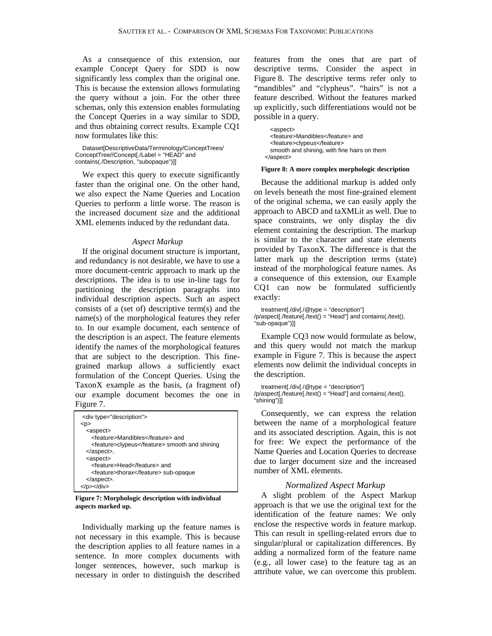As a consequence of this extension, our example Concept Query for SDD is now significantly less complex than the original one. This is because the extension allows formulating the query without a join. For the other three schemas, only this extension enables formulating the Concept Queries in a way similar to SDD, and thus obtaining correct results. Example CQ1 now formulates like this:

```
Dataset[DescriptiveData/Terminology/ConceptTrees/ 
ConceptTree//Concept[./Label = "HEAD" and 
contains(./Description, "subopaque")]]
```
We expect this query to execute significantly faster than the original one. On the other hand, we also expect the Name Queries and Location Queries to perform a little worse. The reason is the increased document size and the additional XML elements induced by the redundant data.

#### *Aspect Markup*

If the original document structure is important, and redundancy is not desirable, we have to use a more document-centric approach to mark up the descriptions. The idea is to use in-line tags for partitioning the description paragraphs into individual description aspects. Such an aspect consists of a (set of) descriptive term(s) and the name(s) of the morphological features they refer to. In our example document, each sentence of the description is an aspect. The feature elements identify the names of the morphological features that are subject to the description. This finegrained markup allows a sufficiently exact formulation of the Concept Queries. Using the TaxonX example as the basis, (a fragment of) our example document becomes the one in Figure 7.

| <div type="description"></div>                |
|-----------------------------------------------|
| <p></p>                                       |
| <aspect></aspect>                             |
| <feature>Mandibles</feature> and              |
| <feature>clypeus</feature> smooth and shining |
| .                                             |
| <aspect></aspect>                             |
| <feature>Head</feature> and                   |
| <feature>thorax</feature> sub-opaque          |
| .                                             |
|                                               |

**Figure 7: Morphologic description with individual aspects marked up.** 

Individually marking up the feature names is not necessary in this example. This is because the description applies to all feature names in a sentence. In more complex documents with longer sentences, however, such markup is necessary in order to distinguish the described features from the ones that are part of descriptive terms. Consider the aspect in Figure 8. The descriptive terms refer only to "mandibles" and "clypheus". "hairs" is not a feature described. Without the features marked up explicitly, such differentiations would not be possible in a query.

<aspect> <feature>Mandibles</feature> and <feature>clypeus</feature> smooth and shining, with fine hairs on them </aspect>

#### **Figure 8: A more complex morphologic description**

Because the additional markup is added only on levels beneath the most fine-grained element of the original schema, we can easily apply the approach to ABCD and taXMLit as well. Due to space constraints, we only display the div element containing the description. The markup is similar to the character and state elements provided by TaxonX. The difference is that the latter mark up the description terms (state) instead of the morphological feature names. As a consequence of this extension, our Example CQ1 can now be formulated sufficiently exactly:

treatment[./div[./@type = "description"] /p/aspect[./feature[./text() = "Head"] and contains(./text(), "sub-opaque")]]

Example CQ3 now would formulate as below, and this query would not match the markup example in Figure 7. This is because the aspect elements now delimit the individual concepts in the description.

```
treatment[./div[./@type = "description"] 
/p/aspect[./feature[./text() = "Head"] and contains(./text(), 
"shining")]]
```
Consequently, we can express the relation between the name of a morphological feature and its associated description. Again, this is not for free: We expect the performance of the Name Queries and Location Queries to decrease due to larger document size and the increased number of XML elements.

# *Normalized Aspect Markup*

A slight problem of the Aspect Markup approach is that we use the original text for the identification of the feature names: We only enclose the respective words in feature markup. This can result in spelling-related errors due to singular/plural or capitalization differences. By adding a normalized form of the feature name (e.g., all lower case) to the feature tag as an attribute value, we can overcome this problem.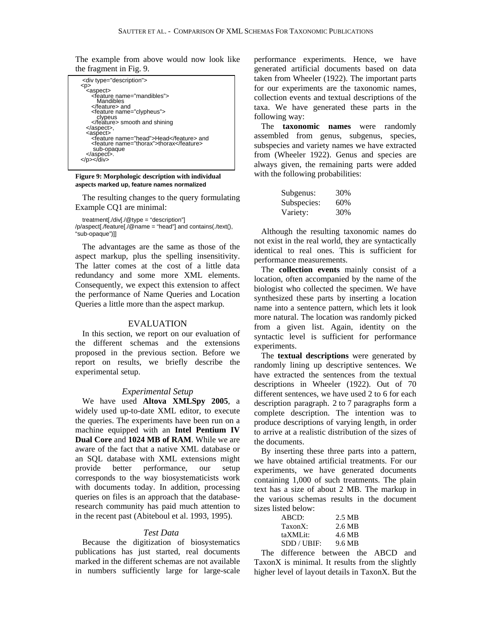The example from above would now look like the fragment in Fig. 9.

| <div type="description"></div>          |
|-----------------------------------------|
| <p></p>                                 |
| <aspect></aspect>                       |
| <feature name="mandibles"></feature>    |
| Mandibles                               |
| and                                     |
| <feature name="clypheus"></feature>     |
| clypeus                                 |
| smooth and shining                      |
| ,                                       |
| <aspect></aspect>                       |
| <feature name="head">Head</feature> and |
| <feature name="thorax">thorax</feature> |
| sub-opaque                              |
| .                                       |
|                                         |
|                                         |

**Figure 9: Morphologic description with individual aspects marked up, feature names normalized** 

The resulting changes to the query formulating Example CQ1 are minimal:

treatment[./div[./@type = "description"] /p/aspect[./feature[./@name = "head"] and contains(./text(), "sub-opaque")]]

The advantages are the same as those of the aspect markup, plus the spelling insensitivity. The latter comes at the cost of a little data redundancy and some more XML elements. Consequently, we expect this extension to affect the performance of Name Queries and Location Queries a little more than the aspect markup.

### EVALUATION

In this section, we report on our evaluation of the different schemas and the extensions proposed in the previous section. Before we report on results, we briefly describe the experimental setup.

#### *Experimental Setup*

We have used **Altova XMLSpy 2005**, a widely used up-to-date XML editor, to execute the queries. The experiments have been run on a machine equipped with an **Intel Pentium IV Dual Core** and **1024 MB of RAM**. While we are aware of the fact that a native XML database or an SQL database with XML extensions might provide better performance, our setup corresponds to the way biosystematicists work with documents today. In addition, processing queries on files is an approach that the databaseresearch community has paid much attention to in the recent past (Abiteboul et al. 1993, 1995).

### *Test Data*

Because the digitization of biosystematics publications has just started, real documents marked in the different schemas are not available in numbers sufficiently large for large-scale performance experiments. Hence, we have generated artificial documents based on data taken from Wheeler (1922). The important parts for our experiments are the taxonomic names, collection events and textual descriptions of the taxa. We have generated these parts in the following way:

The **taxonomic names** were randomly assembled from genus, subgenus, species, subspecies and variety names we have extracted from (Wheeler 1922). Genus and species are always given, the remaining parts were added with the following probabilities:

| Subgenus:   | 30% |
|-------------|-----|
| Subspecies: | 60% |
| Variety:    | 30% |

Although the resulting taxonomic names do not exist in the real world, they are syntactically identical to real ones. This is sufficient for performance measurements.

The **collection events** mainly consist of a location, often accompanied by the name of the biologist who collected the specimen. We have synthesized these parts by inserting a location name into a sentence pattern, which lets it look more natural. The location was randomly picked from a given list. Again, identity on the syntactic level is sufficient for performance experiments.

The **textual descriptions** were generated by randomly lining up descriptive sentences. We have extracted the sentences from the textual descriptions in Wheeler (1922). Out of 70 different sentences, we have used 2 to 6 for each description paragraph. 2 to 7 paragraphs form a complete description. The intention was to produce descriptions of varying length, in order to arrive at a realistic distribution of the sizes of the documents.

By inserting these three parts into a pattern, we have obtained artificial treatments. For our experiments, we have generated documents containing 1,000 of such treatments. The plain text has a size of about 2 MB. The markup in the various schemas results in the document sizes listed below:

| ABCD:       | 2.5 MB |
|-------------|--------|
| $TaxonX$ :  | 2.6 MB |
| taXMLit:    | 4.6 MB |
| SDD / UBIF: | 9.6 MB |

The difference between the ABCD and TaxonX is minimal. It results from the slightly higher level of layout details in TaxonX. But the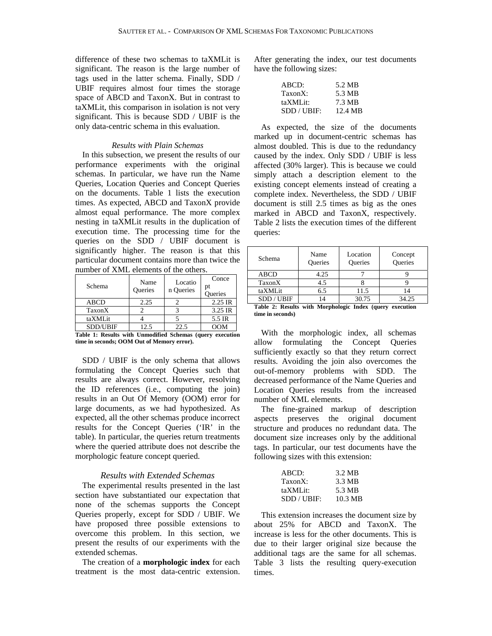difference of these two schemas to taXMLit is significant. The reason is the large number of tags used in the latter schema. Finally, SDD / UBIF requires almost four times the storage space of ABCD and TaxonX. But in contrast to taXMLit, this comparison in isolation is not very significant. This is because SDD / UBIF is the only data-centric schema in this evaluation.

### *Results with Plain Schemas*

In this subsection, we present the results of our performance experiments with the original schemas. In particular, we have run the Name Queries, Location Queries and Concept Queries on the documents. Table 1 lists the execution times. As expected, ABCD and TaxonX provide almost equal performance. The more complex nesting in taXMLit results in the duplication of execution time. The processing time for the queries on the SDD / UBIF document is significantly higher. The reason is that this particular document contains more than twice the number of XML elements of the others.

| Schema          | Name<br><b>Oueries</b> | Locatio<br>n Queries | Conce<br>pt<br><b>Oueries</b> |
|-----------------|------------------------|----------------------|-------------------------------|
| <b>ABCD</b>     | 2.25                   |                      | 2.25 IR                       |
| TaxonX          |                        |                      | 3.25 IR                       |
| taXMLit         |                        |                      | 5.5 IR                        |
| <b>SDD/UBIF</b> | 12.5                   | 22.5                 | OOM                           |

**Table 1: Results with Unmodified Schemas (query execution time in seconds; OOM Out of Memory error).** 

SDD / UBIF is the only schema that allows formulating the Concept Queries such that results are always correct. However, resolving the ID references (i.e., computing the join) results in an Out Of Memory (OOM) error for large documents, as we had hypothesized. As expected, all the other schemas produce incorrect results for the Concept Queries ('IR' in the table). In particular, the queries return treatments where the queried attribute does not describe the morphologic feature concept queried.

# *Results with Extended Schemas*

The experimental results presented in the last section have substantiated our expectation that none of the schemas supports the Concept Queries properly, except for SDD / UBIF. We have proposed three possible extensions to overcome this problem. In this section, we present the results of our experiments with the extended schemas.

The creation of a **morphologic index** for each treatment is the most data-centric extension. After generating the index, our test documents have the following sizes:

| ABCD:       | 5.2 MB  |
|-------------|---------|
| TaxonX:     | 5.3 MB  |
| taXMLit:    | 7.3 MB  |
| SDD / UBIF: | 12.4 MB |

As expected, the size of the documents marked up in document-centric schemas has almost doubled. This is due to the redundancy caused by the index. Only SDD / UBIF is less affected (30% larger). This is because we could simply attach a description element to the existing concept elements instead of creating a complete index. Nevertheless, the SDD / UBIF document is still 2.5 times as big as the ones marked in ABCD and TaxonX, respectively. Table 2 lists the execution times of the different queries:

| Schema                                                                                                                         | Name<br><b>Oueries</b> | Location<br><b>Oueries</b> | Concept<br><b>Oueries</b> |
|--------------------------------------------------------------------------------------------------------------------------------|------------------------|----------------------------|---------------------------|
| <b>ABCD</b>                                                                                                                    | 4.25                   |                            |                           |
| TaxonX                                                                                                                         | 4.5                    |                            |                           |
| taXMLit                                                                                                                        | 6.5                    | 11.5                       | 14                        |
| SDD / UBIF                                                                                                                     | 14                     | 30.75                      | 34.25                     |
| $\mathbf{m}$ , and $\mathbf{n}$ , and $\mathbf{m}$ , and $\mathbf{m}$ , and $\mathbf{n}$ , and $\mathbf{n}$ , and $\mathbf{n}$ |                        |                            |                           |

**Table 2: Results with Morphologic Index (query execution time in seconds)** 

With the morphologic index, all schemas allow formulating the Concept Queries sufficiently exactly so that they return correct results. Avoiding the join also overcomes the out-of-memory problems with SDD. The decreased performance of the Name Queries and Location Queries results from the increased number of XML elements.

The fine-grained markup of description aspects preserves the original document structure and produces no redundant data. The document size increases only by the additional tags. In particular, our test documents have the following sizes with this extension:

| ABCD:      | 3.2 MB  |
|------------|---------|
| $TaxonX$ : | 3.3 MB  |
| taXMLit:   | 5.3 MB  |
| SDD/UBIF:  | 10.3 MB |

This extension increases the document size by about 25% for ABCD and TaxonX. The increase is less for the other documents. This is due to their larger original size because the additional tags are the same for all schemas. Table 3 lists the resulting query-execution times.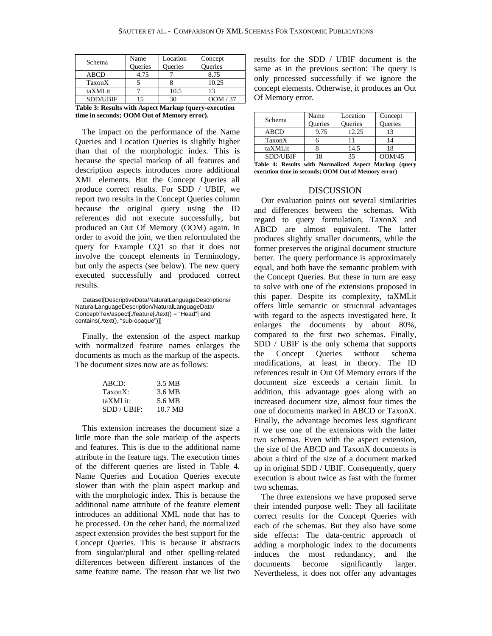| Schema                                               | Name    | Location       | Concept  |
|------------------------------------------------------|---------|----------------|----------|
|                                                      | Queries | <b>Oueries</b> | Queries  |
| <b>ABCD</b>                                          | 4.75    |                | 8.75     |
| TaxonX                                               |         |                | 10.25    |
| taXMLit                                              |         | 10.5           | 13       |
| <b>SDD/UBIF</b>                                      | 15      | 30             | OOM / 37 |
| Table 3: Results with Aspect Markup (query-execution |         |                |          |

**time in seconds; OOM Out of Memory error).** 

The impact on the performance of the Name Queries and Location Queries is slightly higher than that of the morphologic index. This is because the special markup of all features and description aspects introduces more additional XML elements. But the Concept Queries all produce correct results. For SDD / UBIF, we report two results in the Concept Queries column because the original query using the ID references did not execute successfully, but produced an Out Of Memory (OOM) again. In order to avoid the join, we then reformulated the query for Example CQ1 so that it does not involve the concept elements in Terminology, but only the aspects (see below). The new query executed successfully and produced correct results.

Dataset[DescriptiveData/NaturalLanguageDescriptions/ NaturalLanguageDescription/NaturalLanguageData/ Concept/Tex/aspect[./feature[./text() = "Head"] and contains(./text(), "sub-opaque")]]

Finally, the extension of the aspect markup with normalized feature names enlarges the documents as much as the markup of the aspects. The document sizes now are as follows:

| ABCD:     | 3.5 MB  |
|-----------|---------|
| TaxonX:   | 3.6 MB  |
| taXMLit:  | 5.6 MB  |
| SDD/UBIF: | 10.7 MB |
|           |         |

This extension increases the document size a little more than the sole markup of the aspects and features. This is due to the additional name attribute in the feature tags. The execution times of the different queries are listed in Table 4. Name Queries and Location Queries execute slower than with the plain aspect markup and with the morphologic index. This is because the additional name attribute of the feature element introduces an additional XML node that has to be processed. On the other hand, the normalized aspect extension provides the best support for the Concept Queries. This is because it abstracts from singular/plural and other spelling-related differences between different instances of the same feature name. The reason that we list two results for the SDD / UBIF document is the same as in the previous section: The query is only processed successfully if we ignore the concept elements. Otherwise, it produces an Out Of Memory error.

| Schema      | Name<br><b>Oueries</b> | Location<br>Oueries | Concept<br><b>Oueries</b> |
|-------------|------------------------|---------------------|---------------------------|
| <b>ABCD</b> | 9.75                   | 12.25               | 13                        |
| TaxonX      |                        |                     | 14                        |
| taXMLit     |                        | 14.5                | 18                        |
| SDD/UBIF    | 8                      | 35                  | OOM/45                    |

|  |  | Table 4: Results with Normalized Aspect Markup (query |  |  |
|--|--|-------------------------------------------------------|--|--|
|  |  | execution time in seconds; OOM Out of Memory error)   |  |  |

### DISCUSSION

Our evaluation points out several similarities and differences between the schemas. With regard to query formulation, TaxonX and ABCD are almost equivalent. The latter produces slightly smaller documents, while the former preserves the original document structure better. The query performance is approximately equal, and both have the semantic problem with the Concept Queries. But these in turn are easy to solve with one of the extensions proposed in this paper. Despite its complexity, taXMLit offers little semantic or structural advantages with regard to the aspects investigated here. It enlarges the documents by about 80%, compared to the first two schemas. Finally, SDD / UBIF is the only schema that supports the Concept Queries without schema modifications, at least in theory. The ID references result in Out Of Memory errors if the document size exceeds a certain limit. In addition, this advantage goes along with an increased document size, almost four times the one of documents marked in ABCD or TaxonX. Finally, the advantage becomes less significant if we use one of the extensions with the latter two schemas. Even with the aspect extension, the size of the ABCD and TaxonX documents is about a third of the size of a document marked up in original SDD / UBIF. Consequently, query execution is about twice as fast with the former two schemas.

The three extensions we have proposed serve their intended purpose well: They all facilitate correct results for the Concept Queries with each of the schemas. But they also have some side effects: The data-centric approach of adding a morphologic index to the documents induces the most redundancy, and the documents become significantly larger. Nevertheless, it does not offer any advantages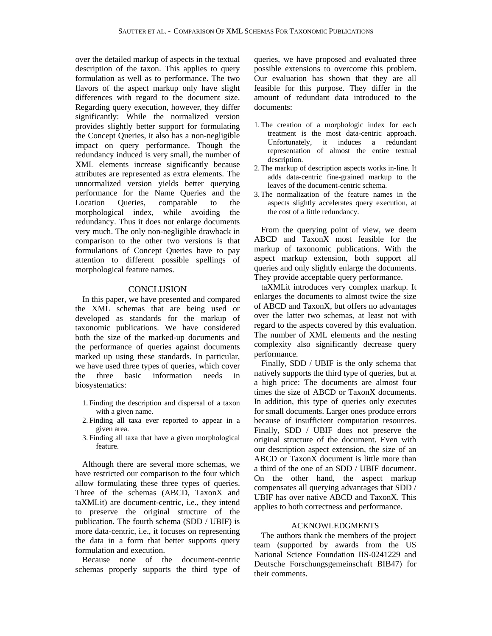over the detailed markup of aspects in the textual description of the taxon. This applies to query formulation as well as to performance. The two flavors of the aspect markup only have slight differences with regard to the document size. Regarding query execution, however, they differ significantly: While the normalized version provides slightly better support for formulating the Concept Queries, it also has a non-negligible impact on query performance. Though the redundancy induced is very small, the number of XML elements increase significantly because attributes are represented as extra elements. The unnormalized version yields better querying performance for the Name Queries and the Location Queries, comparable to the morphological index, while avoiding the redundancy. Thus it does not enlarge documents very much. The only non-negligible drawback in comparison to the other two versions is that formulations of Concept Queries have to pay attention to different possible spellings of morphological feature names.

### **CONCLUSION**

In this paper, we have presented and compared the XML schemas that are being used or developed as standards for the markup of taxonomic publications. We have considered both the size of the marked-up documents and the performance of queries against documents marked up using these standards. In particular, we have used three types of queries, which cover the three basic information needs in biosystematics:

- 1. Finding the description and dispersal of a taxon with a given name.
- 2. Finding all taxa ever reported to appear in a given area.
- 3. Finding all taxa that have a given morphological feature.

Although there are several more schemas, we have restricted our comparison to the four which allow formulating these three types of queries. Three of the schemas (ABCD, TaxonX and taXMLit) are document-centric, i.e., they intend to preserve the original structure of the publication. The fourth schema (SDD / UBIF) is more data-centric, i.e., it focuses on representing the data in a form that better supports query formulation and execution.

Because none of the document-centric schemas properly supports the third type of queries, we have proposed and evaluated three possible extensions to overcome this problem. Our evaluation has shown that they are all feasible for this purpose. They differ in the amount of redundant data introduced to the documents:

- 1.The creation of a morphologic index for each treatment is the most data-centric approach. Unfortunately, it induces a redundant representation of almost the entire textual description.
- 2.The markup of description aspects works in-line. It adds data-centric fine-grained markup to the leaves of the document-centric schema.
- 3.The normalization of the feature names in the aspects slightly accelerates query execution, at the cost of a little redundancy.

From the querying point of view, we deem ABCD and TaxonX most feasible for the markup of taxonomic publications. With the aspect markup extension, both support all queries and only slightly enlarge the documents. They provide acceptable query performance.

taXMLit introduces very complex markup. It enlarges the documents to almost twice the size of ABCD and TaxonX, but offers no advantages over the latter two schemas, at least not with regard to the aspects covered by this evaluation. The number of XML elements and the nesting complexity also significantly decrease query performance.

Finally, SDD / UBIF is the only schema that natively supports the third type of queries, but at a high price: The documents are almost four times the size of ABCD or TaxonX documents. In addition, this type of queries only executes for small documents. Larger ones produce errors because of insufficient computation resources. Finally, SDD / UBIF does not preserve the original structure of the document. Even with our description aspect extension, the size of an ABCD or TaxonX document is little more than a third of the one of an SDD / UBIF document. On the other hand, the aspect markup compensates all querying advantages that SDD / UBIF has over native ABCD and TaxonX. This applies to both correctness and performance.

# ACKNOWLEDGMENTS

The authors thank the members of the project team (supported by awards from the US National Science Foundation IIS-0241229 and Deutsche Forschungsgemeinschaft BIB47) for their comments.